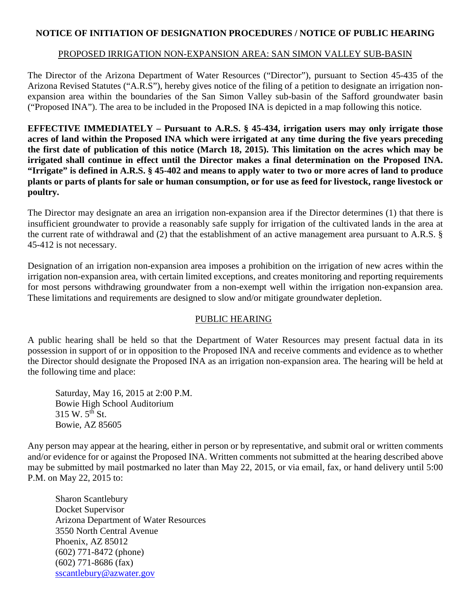## **NOTICE OF INITIATION OF DESIGNATION PROCEDURES / NOTICE OF PUBLIC HEARING**

## PROPOSED IRRIGATION NON-EXPANSION AREA: SAN SIMON VALLEY SUB-BASIN

The Director of the Arizona Department of Water Resources ("Director"), pursuant to Section 45-435 of the Arizona Revised Statutes ("A.R.S"), hereby gives notice of the filing of a petition to designate an irrigation nonexpansion area within the boundaries of the San Simon Valley sub-basin of the Safford groundwater basin ("Proposed INA"). The area to be included in the Proposed INA is depicted in a map following this notice.

**EFFECTIVE IMMEDIATELY – Pursuant to A.R.S. § 45-434, irrigation users may only irrigate those acres of land within the Proposed INA which were irrigated at any time during the five years preceding the first date of publication of this notice (March 18, 2015). This limitation on the acres which may be irrigated shall continue in effect until the Director makes a final determination on the Proposed INA. "Irrigate" is defined in A.R.S. § 45-402 and means to apply water to two or more acres of land to produce plants or parts of plants for sale or human consumption, or for use as feed for livestock, range livestock or poultry.** 

The Director may designate an area an irrigation non-expansion area if the Director determines (1) that there is insufficient groundwater to provide a reasonably safe supply for irrigation of the cultivated lands in the area at the current rate of withdrawal and (2) that the establishment of an active management area pursuant to A.R.S. § 45-412 is not necessary.

Designation of an irrigation non-expansion area imposes a prohibition on the irrigation of new acres within the irrigation non-expansion area, with certain limited exceptions, and creates monitoring and reporting requirements for most persons withdrawing groundwater from a non-exempt well within the irrigation non-expansion area. These limitations and requirements are designed to slow and/or mitigate groundwater depletion.

## PUBLIC HEARING

A public hearing shall be held so that the Department of Water Resources may present factual data in its possession in support of or in opposition to the Proposed INA and receive comments and evidence as to whether the Director should designate the Proposed INA as an irrigation non-expansion area. The hearing will be held at the following time and place:

Saturday, May 16, 2015 at 2:00 P.M. Bowie High School Auditorium  $315 W. 5^{th}$  St. Bowie, AZ 85605

Any person may appear at the hearing, either in person or by representative, and submit oral or written comments and/or evidence for or against the Proposed INA. Written comments not submitted at the hearing described above may be submitted by mail postmarked no later than May 22, 2015, or via email, fax, or hand delivery until 5:00 P.M. on May 22, 2015 to:

Sharon Scantlebury Docket Supervisor Arizona Department of Water Resources 3550 North Central Avenue Phoenix, AZ 85012 (602) 771-8472 (phone) (602) 771-8686 (fax) [sscantlebury@azwater.gov](mailto:sscantlebury@azwater.gov)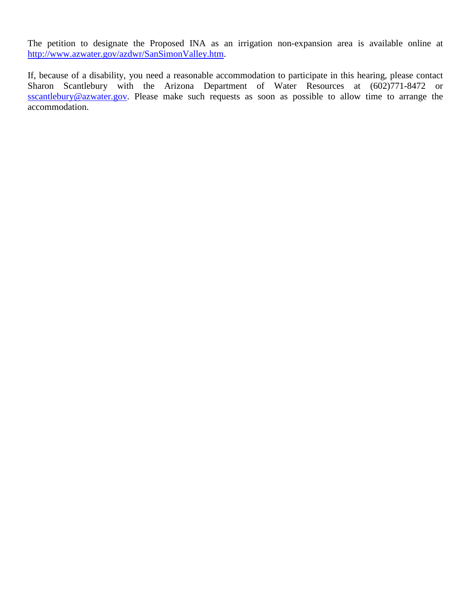The petition to designate the Proposed INA as an irrigation non-expansion area is available online at [http://www.azwater.gov/azdwr/SanSimonValley.htm.](http://www.azwater.gov/azdwr/SanSimonValley.htm)

If, because of a disability, you need a reasonable accommodation to participate in this hearing, please contact Sharon Scantlebury with the Arizona Department of Water Resources at (602)771-8472 or [sscantlebury@azwater.gov.](mailto:sscantlebury@azwater.gov) Please make such requests as soon as possible to allow time to arrange the accommodation.